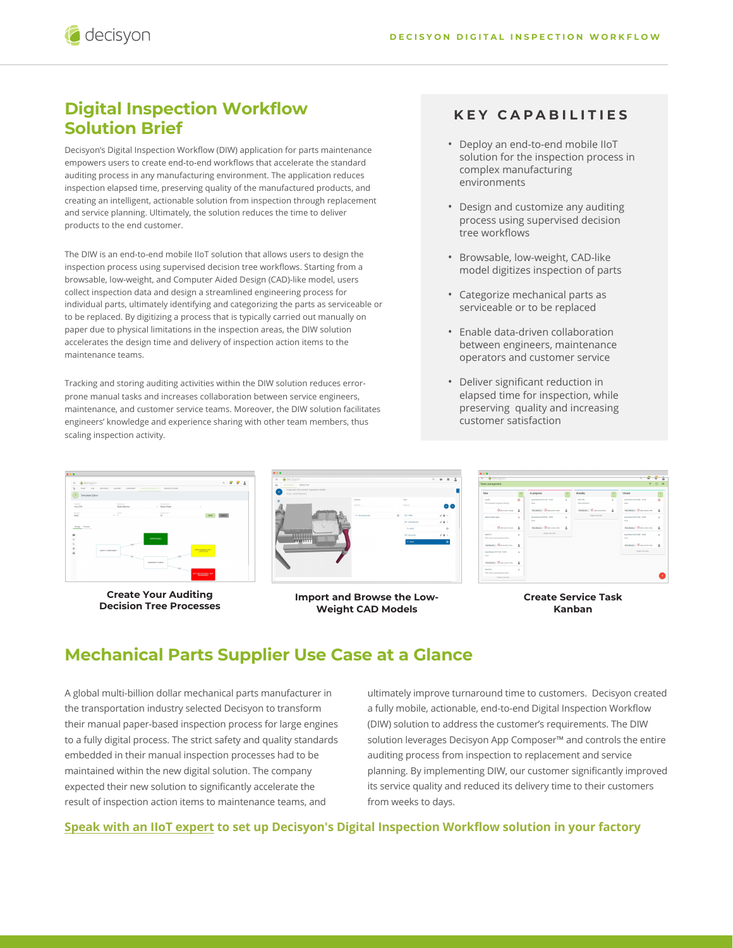## **Digital Inspection Workflow Solution Brief**

decisyon

Decisyon's Digital Inspection Workflow (DIW) application for parts maintenance empowers users to create end-to-end workflows that accelerate the standard auditing process in any manufacturing environment. The application reduces inspection elapsed time, preserving quality of the manufactured products, and creating an intelligent, actionable solution from inspection through replacement and service planning. Ultimately, the solution reduces the time to deliver products to the end customer.

The DIW is an end-to-end mobile IIoT solution that allows users to design the inspection process using supervised decision tree workflows. Starting from a browsable, low-weight, and Computer Aided Design (CAD)-like model, users collect inspection data and design a streamlined engineering process for individual parts, ultimately identifying and categorizing the parts as serviceable or to be replaced. By digitizing a process that is typically carried out manually on paper due to physical limitations in the inspection areas, the DIW solution accelerates the design time and delivery of inspection action items to the maintenance teams.

Tracking and storing auditing activities within the DIW solution reduces errorprone manual tasks and increases collaboration between service engineers, maintenance, and customer service teams. Moreover, the DIW solution facilitates engineers' knowledge and experience sharing with other team members, thus scaling inspection activity.

#### **KEY CAPABILITIES**

- Deploy an end-to-end mobile IIoT solution for the inspection process in complex manufacturing environments
- Design and customize any auditing process using supervised decision tree workflows
- Browsable, low-weight, CAD-like model digitizes inspection of parts
- Categorize mechanical parts as serviceable or to be replaced
- Enable data-driven collaboration between engineers, maintenance operators and customer service
- Deliver significant reduction in elapsed time for inspection, while preserving quality and increasing customer satisfaction



**Create Your Auditing Decision Tree Processes**



**Import and Browse the Low-Weight CAD Models**

| Taska management                                            |              |                                             |                |                                |   |                                               |  |
|-------------------------------------------------------------|--------------|---------------------------------------------|----------------|--------------------------------|---|-----------------------------------------------|--|
| New                                                         |              | In progress                                 |                | Steedby                        |   | closed                                        |  |
| render<br>this component is solve to brake (ii)             | ö            | house thorse substituted to 12/200<br>hour. | $\sim$         | Alan Tatt<br><b>Bornshaker</b> |   | hour Remetable to do - 11.00<br><b>box</b>    |  |
| Gevenwear                                                   | z.           | <b>Partners, Chass course</b>               | Δ              | NAMES OF OCCUPANTS             | 2 | <b>Berkens, Community</b>                     |  |
| always works away.                                          | ۰            | hour flore 1210100 / 12-20<br><b>Solar</b>  | $\mathbf{v}$   | Contractorials                 |   | hour flore GEES2-00 - 13-00<br><b>Solomon</b> |  |
| Garagerman                                                  | A            | Participal 10 securities                    | $\overline{a}$ |                                |   | <b>Residence.</b> Createrstone                |  |
| Abot W.Y.<br>the fundamental products of the con-           | ×            | Continue service in                         |                |                                |   | house Rome (2711100 - 14:00)<br><b>MAG</b>    |  |
| Feld Mondox. Check 300 Friday.                              | A            |                                             |                |                                |   | <b>Photosophy</b> , <b>C</b> PERSONAL         |  |
| <b>James Burner Library Library - White</b><br><b>State</b> | $\mathbf{v}$ |                                             |                |                                |   | Create a tele tele-                           |  |
| <b>HANAHALL C</b> RESIDENCE                                 | z.           |                                             |                |                                |   |                                               |  |
| Ales PLI                                                    | ٠            |                                             |                |                                |   |                                               |  |

**Create Service Task Kanban**

## **Mechanical Parts Supplier Use Case at a Glance**

A global multi-billion dollar mechanical parts manufacturer in the transportation industry selected Decisyon to transform their manual paper-based inspection process for large engines to a fully digital process. The strict safety and quality standards embedded in their manual inspection processes had to be maintained within the new digital solution. The company expected their new solution to significantly accelerate the result of inspection action items to maintenance teams, and

ultimately improve turnaround time to customers. Decisyon created a fully mobile, actionable, end-to-end Digital Inspection Workflow (DIW) solution to address the customer's requirements. The DIW solution leverages Decisyon App Composer™ and controls the entire auditing process from inspection to replacement and service planning. By implementing DIW, our customer significantly improved its service quality and reduced its delivery time to their customers from weeks to days.

#### **[Speak with an IIoT expert](https://decisyon.com/contact-us/) to set up Decisyon's Digital Inspection Workflow solution in your factory**